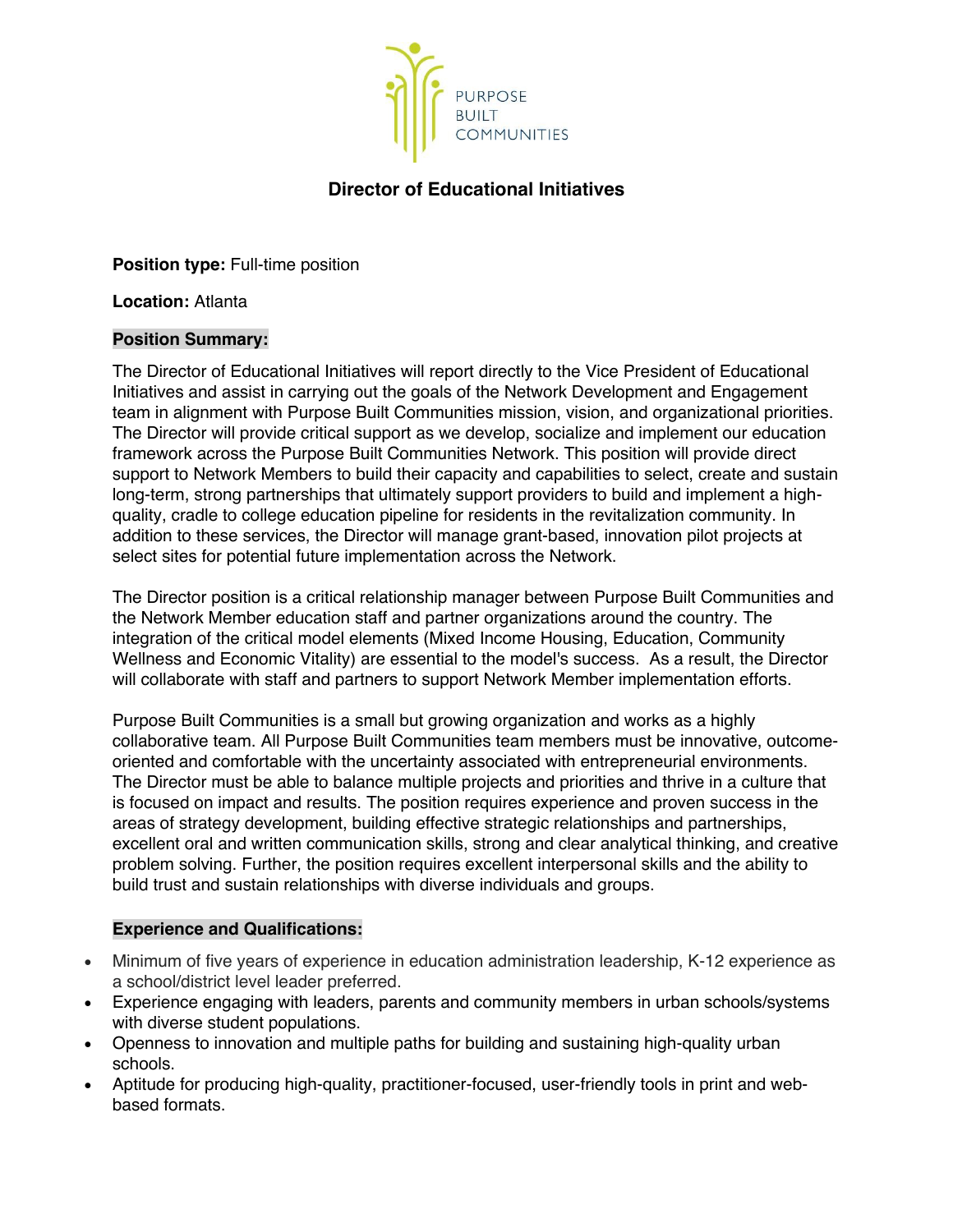

# **Director of Educational Initiatives**

**Position type:** Full-time position

**Location:** Atlanta

## **Position Summary:**

The Director of Educational Initiatives will report directly to the Vice President of Educational Initiatives and assist in carrying out the goals of the Network Development and Engagement team in alignment with Purpose Built Communities mission, vision, and organizational priorities. The Director will provide critical support as we develop, socialize and implement our education framework across the Purpose Built Communities Network. This position will provide direct support to Network Members to build their capacity and capabilities to select, create and sustain long-term, strong partnerships that ultimately support providers to build and implement a highquality, cradle to college education pipeline for residents in the revitalization community. In addition to these services, the Director will manage grant-based, innovation pilot projects at select sites for potential future implementation across the Network.

The Director position is a critical relationship manager between Purpose Built Communities and the Network Member education staff and partner organizations around the country. The integration of the critical model elements (Mixed Income Housing, Education, Community Wellness and Economic Vitality) are essential to the model's success. As a result, the Director will collaborate with staff and partners to support Network Member implementation efforts.

Purpose Built Communities is a small but growing organization and works as a highly collaborative team. All Purpose Built Communities team members must be innovative, outcomeoriented and comfortable with the uncertainty associated with entrepreneurial environments. The Director must be able to balance multiple projects and priorities and thrive in a culture that is focused on impact and results. The position requires experience and proven success in the areas of strategy development, building effective strategic relationships and partnerships, excellent oral and written communication skills, strong and clear analytical thinking, and creative problem solving. Further, the position requires excellent interpersonal skills and the ability to build trust and sustain relationships with diverse individuals and groups.

### **Experience and Qualifications:**

- Minimum of five years of experience in education administration leadership, K-12 experience as a school/district level leader preferred.
- Experience engaging with leaders, parents and community members in urban schools/systems with diverse student populations.
- Openness to innovation and multiple paths for building and sustaining high-quality urban schools.
- Aptitude for producing high-quality, practitioner-focused, user-friendly tools in print and webbased formats.